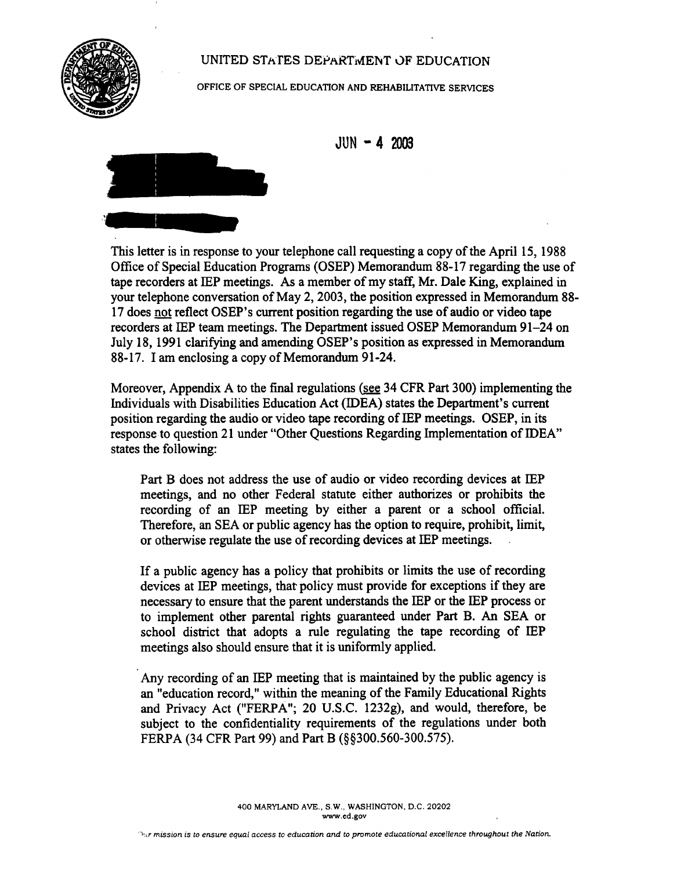

# UNITED STATES DEPARTMENT OF EDUCATION

### OFFICE OF SPECIAL EDUCATION AND REHABILITATIVE SERVICES

 $JUN - 4 2003$ 



This letter is in response to your telephone call requesting a copy of the April 15, 1988 Office of Special Education Programs (OSEP) Memorandum 88-17 regarding the use of tape recorders at IEP meetings. As a member of my staff, Mr. Dale King, explained in your telephone conversation of May 2, 2003, the position expressed in Memorandum 88- 17 does not reflect OSEP's current position regarding the use of audio or video tape recorders at IEP team meetings. The Department issued OSEP Memorandum 91-24 on July 18, 1991 clarifying and amending OSEP's position as expressed in Memorandum 88-17. I am enclosing a copy of Memorandum 91-24.

Moreover, Appendix A to the final regulations (see 34 CFR Part 300) implementing the Individuals with Disabilities Education Act (IDEA) states the Department's current position regarding the audio or video tape recording of IEP meetings. OSEP, in its response to question 21 under "Other Questions Regarding Implementation of IDEA" states the following:

Part B does not address the use of audio or video recording devices at IEP meetings, and no other Federal statute either authorizes or prohibits the recording of an IEP meeting by either a parent or a school official. Therefore, an SEA or public agency has the option to require, prohibit, limit, or otherwise regulate the use of recording devices at IEP meetings.

If a public agency has a policy that prohibits or limits the use of recording devices at IEP meetings, that policy must provide for exceptions if they are necessary to ensure that the parent understands the IEP or the IEP process or to implement other parental fights guaranteed under Part B. An SEA or school district that adopts a rule regulating the tape recording of IEP meetings also should ensure that it is uniformly applied.

Any recording of an IEP meeting that is maintained by the public agency is an "education record," within the meaning of the Family Educational Rights and Privacy Act ("FERPA"; 20 U.S.C. 1232g), and would, therefore, be subject to the confidentiality requirements of the regulations under both FERPA (34 CFR Part 99) and Part B (§§300.560-300.575).

> 400 MARYLAND AVE., S.W., WASHINGTON, D.C. 20202 www.ed.gov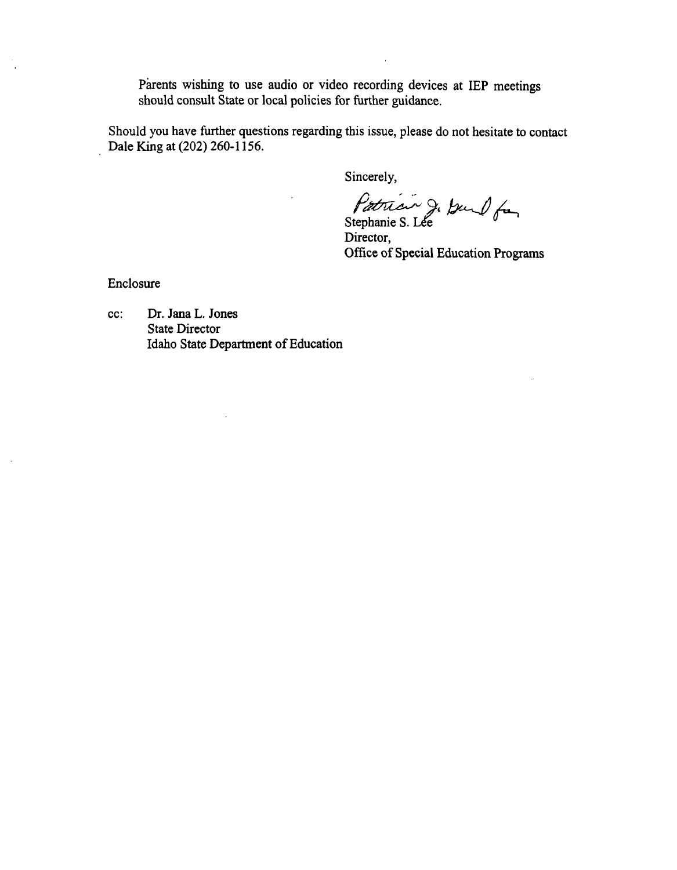Parents wishing to use audio or video recording devices at IEP meetings should consult State or local policies for further guidance.

Should you have further questions regarding this issue, please do not hesitate to contact Dale King at (202) 260-1156.

Sincerely,

Stephanie S. Lée Director, Office of Special Education Programs

Enclosure

CC: Dr. Jana L. Jones State Director Idaho State Department of Education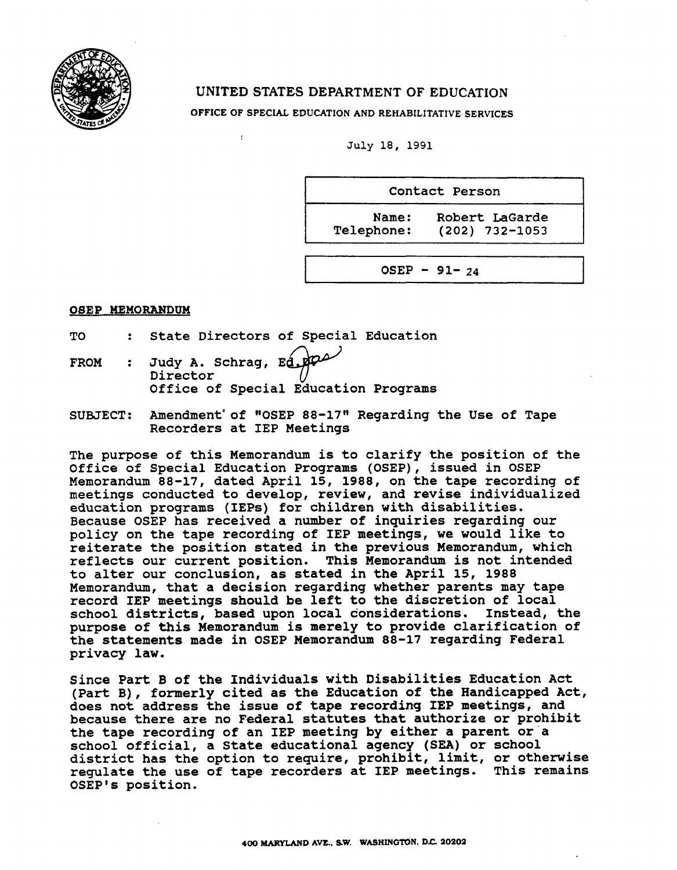

## UNITED STATES DEPARTMENT OF EDUCATION

OFFICE OF SPECIAL EDUCATION AND REHABILITATIVE SERVICES

July 18, 1991

Contact Person

Name: Robert LaGarde<br>Telephone: (202) 732-1053  $(202)$  732-1053

 $OSEP - 91 - 24$ 

### **OSEP MEMORANDUM**

TO : State Directors of Special Education

t

- FROM : Judy A. Schrag, Ed. po Director Office of Special Education Programs
- SUBJECT: Amendment of "OSEP 88-17" Regarding the Use of Tape Recorders at IEP Meetings

The purpose of this Memorandum is to clarify the position of the Office of Special Education Programs (OSEP), issued in OSEP Memorandum 88-17, dated April 15, 1988, on the tape recording of meetings conducted to develop, review, and revise individualized education programs (IEPs) for children with disabilities. Because OSEP has received a number of inquiries regarding our policy on the tape recording of IEP meetings, we would like to reiterate the position stated in the previous Memorandum, which reflects our current position. This Memorandum is not intended to alter our conclusion, as stated in the April 15, 1988 Memorandum, that a decision regarding whether parents may tape record IEP meetings should be left to the discretion of local school districts, based upon local considerations. Instead, the purpose of this Memorandum is merely to provide clarification of the statements made in OSEP Memorandum 88-17 regarding Federal privacy law.

Since Part B of the Individuals with Disabilities Education Act (Part B), formerly cited as the Education of the Handicapped Act, does not address the issue of tape recording IEP meetings, and because there are no Federal statutes that authorize or prohibit the tape recording of an IEP meeting by either a parent or a school official, a State educational agency (SEA) or school district has the option to require, prohibit, limit, or otherwise regulate the use of tape recorders at IEP meetings. This remains OSEP's position.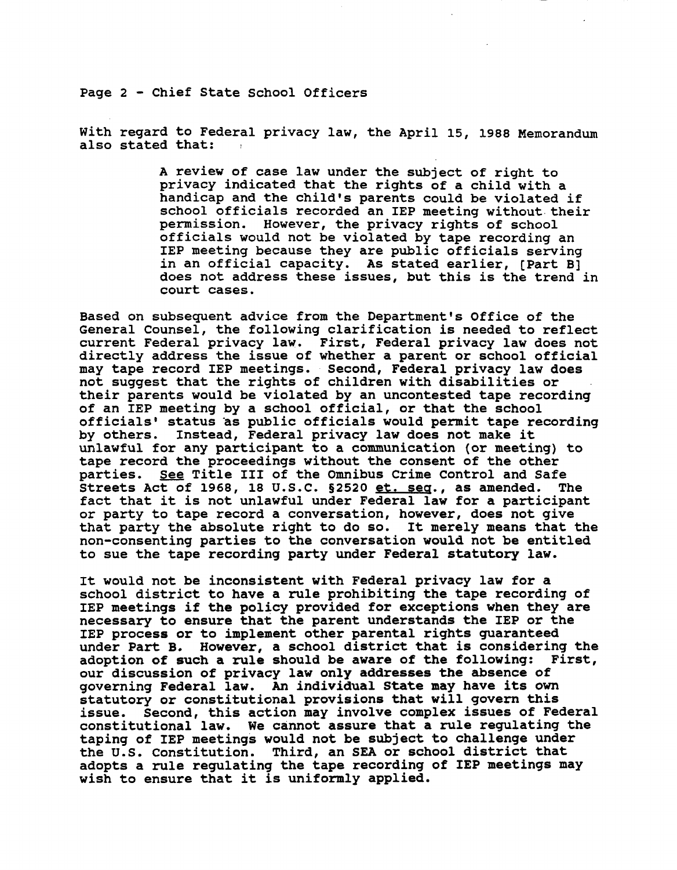Page 2 - Chief State School Officers

With regard to Federal privacy law, the April 15, 1988 Memorandum also stated that:

> A review of case law under the subject of right to privacy indicated that the rights of a child with a handicap and the child's parents could be violated if school officials recorded an IEP meeting without their permission. However, the privacy rights of school officials would not be violated by tape recording an IEP meeting because they are public officials serving in an official capacity. As stated earlier, [Part B] does not address these issues, but this is the trend in court cases.

Based on subsequent advice from the Department's Office of the General Counsel, the following clarification is needed to reflect current Federal privacy law. First, Federal privacy law does not directly address the issue of whether a parent or school official may tape record IEP meetings. Second, Federal privacy law does not suggest that the rights of children with disabilities or their parents would be violated by an uncontested tape recording of an IEP meeting by a school official, or that the school officials' status as public officials would permit tape recording by others. Instead, Federal privacy law does not make it unlawful for any participant to a communication (or meeting) to tape record the proceedings without the consent of the other parties. See Title III of the Omnibus Crime Control and Safe Streets Act of 1968, 18 U.S.C. §2520 et. seq., as amended. The fact that it is not unlawful under Federal law for a participant or party to tape record a conversation, however, does not give that party the absolute right to do so. It merely means that the non-consenting parties to the conversation would not be entitled to sue the tape recording party under Federal statutory law.

It would not be inconsistent with Federal privacy law for a school district to have a rule prohibiting the tape recording of IEP meetings if the policy provided for exceptions when they are necessary to ensure that the parent understands the IEP or the IEP process or to implement other parental rights guaranteed under Part B. However, a school district that is considering the adoption of such a rule should be aware of the following: First, our discussion of privacy law only addresses the absence of governing Federal law. An individual State may have its own statutory or constitutional provisions that will govern this issue. Second, this action may involve complex issues of Federal constitutional law. We cannot assure that a rule regulating the taping of IEP meetings would not be subject to challenge under the U.S. Constitution. Third, an SEA or school district that adopts a rule regulating the tape recording of IEP meetings may wish to ensure that it is uniformly applied.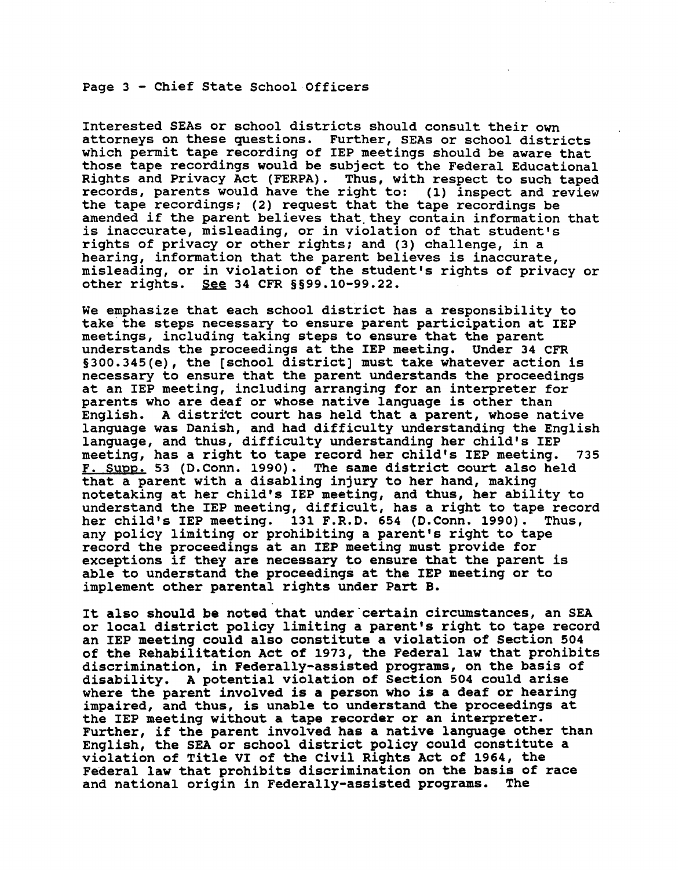#### Page 3 - Chief State School Officers

Interested SEAs or school districts should consult their own attorneys on these questions. Further, SEAs or school districts which permit tape recording of IEP meetings should be aware that those tape recordings would be subject to the Federal Educational Rights and Privacy Act (FERPA). Thus, with respect to such taped records, parents would have the right to: (1) inspect and review the tape recordings; (2) request that the tape recordings be amended if the parent believes that they contain information that is inaccurate, misleading, or in violation of that student's rights of privacy or other rights; and (3) challenge, in a hearing, information that the parent believes is inaccurate, misleading, or in violation of the student's rights of privacy or other rights. See 34 CFR §§99.10-99.22.

We emphasize that each school district has a responsibility to take the steps necessary to ensure parent participation at IEP meetings, including taking steps to ensure that the parent understands the proceedings at the IEP meeting. Under 34 CFR §300.345(e), the [school district] must take whatever action is necessary to ensure that the parent understands the proceedings at an IEP meeting, including arranging for an interpreter for parents who are deaf or whose native language is other than English. A district court has held that a parent, whose native language was Danish, and had difficulty understanding the English language, and thus, difficulty understanding her child's IEP meeting, has a right to tape record her child's IEP meeting. 735 F. Supp. 53 (D.Conn. 1990). The same district court also held that a parent with a disabling injury to her hand, making notetaking at her child's IEP meeting, and thus, her ability to understand the IEP meeting, difficult, has a right to tape record her child's IEP meeting. 131 F.R.D. 654 (D.Conn. 1990). Thus, any policy limiting or prohibiting a parent's right to tape record the proceedings at an IEP meeting must provide for exceptions if they are necessary to ensure that the parent is able to understand the proceedings at the IEP meeting or to implement other parental rights under Part B.

It also should be noted that under certain circumstances, an SEA or local district policy limiting a parent's right to tape record an IEP meeting could also constitute a violation of Section 504 of the Rehabilitation Act of 1973, the Federal law that prohibits discrimination, in Federally-assisted programs, on the basis of disability. A potential violation of Section 504 could arise where the parent involved is a person who is a deaf or hearing impaired, and thus, is unable to understand the proceedings at the IEP meeting without a tape recorder or an interpreter. Further, if the parent involved has a native language other than English, the SEA or school district policy could constitute a violation of Title VI of the Civil Rights Act of 1964, the Federal law that prohibits discrimination on the basis of race<br>and national origin in Federally-assisted programs. The and national origin in Federally-assisted programs.